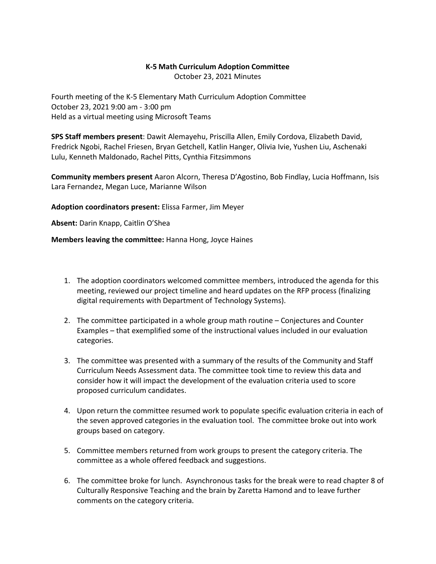## **K-5 Math Curriculum Adoption Committee**

October 23, 2021 Minutes

Fourth meeting of the K-5 Elementary Math Curriculum Adoption Committee October 23, 2021 9:00 am - 3:00 pm Held as a virtual meeting using Microsoft Teams

**SPS Staff members present**: Dawit Alemayehu, Priscilla Allen, Emily Cordova, Elizabeth David, Fredrick Ngobi, Rachel Friesen, Bryan Getchell, Katlin Hanger, Olivia Ivie, Yushen Liu, Aschenaki Lulu, Kenneth Maldonado, Rachel Pitts, Cynthia Fitzsimmons

**Community members present** Aaron Alcorn, Theresa D'Agostino, Bob Findlay, Lucia Hoffmann, Isis Lara Fernandez, Megan Luce, Marianne Wilson

**Adoption coordinators present:** Elissa Farmer, Jim Meyer

**Absent:** Darin Knapp, Caitlin O'Shea

**Members leaving the committee:** Hanna Hong, Joyce Haines

- 1. The adoption coordinators welcomed committee members, introduced the agenda for this meeting, reviewed our project timeline and heard updates on the RFP process (finalizing digital requirements with Department of Technology Systems).
- 2. The committee participated in a whole group math routine Conjectures and Counter Examples – that exemplified some of the instructional values included in our evaluation categories.
- 3. The committee was presented with a summary of the results of the Community and Staff Curriculum Needs Assessment data. The committee took time to review this data and consider how it will impact the development of the evaluation criteria used to score proposed curriculum candidates.
- 4. Upon return the committee resumed work to populate specific evaluation criteria in each of the seven approved categories in the evaluation tool. The committee broke out into work groups based on category.
- 5. Committee members returned from work groups to present the category criteria. The committee as a whole offered feedback and suggestions.
- 6. The committee broke for lunch. Asynchronous tasks for the break were to read chapter 8 of Culturally Responsive Teaching and the brain by Zaretta Hamond and to leave further comments on the category criteria.